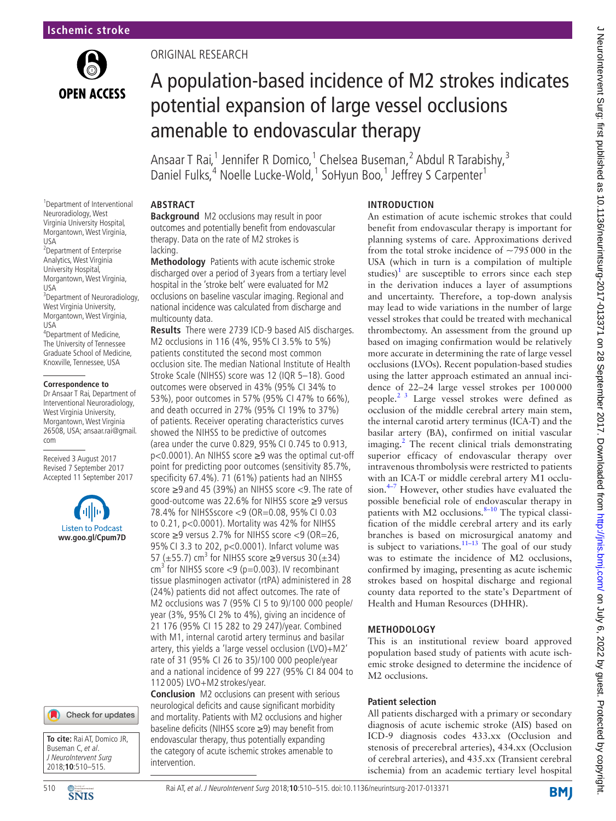

## Original research

# A population-based incidence of M2 strokes indicates potential expansion of large vessel occlusions amenable to endovascular therapy

Ansaar T Rai,<sup>1</sup> Jennifer R Domico,<sup>1</sup> Chelsea Buseman,<sup>2</sup> Abdul R Tarabishy,<sup>3</sup> Daniel Fulks,<sup>4</sup> Noelle Lucke-Wold,<sup>1</sup> SoHyun Boo,<sup>1</sup> Jeffrey S Carpenter<sup>1</sup>

## **Abstract**

**Background** M2 occlusions may result in poor outcomes and potentially benefit from endovascular therapy. Data on the rate of M2 strokes is lacking.

**Methodology** Patients with acute ischemic stroke discharged over a period of 3 years from a tertiary level hospital in the 'stroke belt' were evaluated for M2 occlusions on baseline vascular imaging. Regional and national incidence was calculated from discharge and multicounty data.

**Results** There were 2739 ICD-9 based AIS discharges. M2 occlusions in 116 (4%, 95% CI 3.5% to 5%) patients constituted the second most common occlusion site. The median National Institute of Health Stroke Scale (NIHSS) score was 12 (IQR 5–18). Good outcomes were observed in 43% (95% CI 34% to 53%), poor outcomes in 57% (95% CI 47% to 66%), and death occurred in 27% (95% CI 19% to 37%) of patients. Receiver operating characteristics curves showed the NIHSS to be predictive of outcomes (area under the curve 0.829, 95% CI 0.745 to 0.913, p<0.0001). An NIHSS score ≥9 was the optimal cut-off point for predicting poor outcomes (sensitivity 85.7%, specificity 67.4%). 71 (61%) patients had an NIHSS score ≥9 and 45 (39%) an NIHSS score <9. The rate of good-outcome was 22.6% for NIHSS score ≥9 versus 78.4% for NIHSSscore <9 (OR=0.08, 95% CI 0.03 to 0.21, p<0.0001). Mortality was 42% for NIHSS score ≥9 versus 2.7% for NIHSS score <9 (OR=26, 95% CI 3.3 to 202, p<0.0001). Infarct volume was 57 ( $\pm$ 55.7) cm<sup>3</sup> for NIHSS score  $\geq$ 9 versus 30 ( $\pm$ 34)  $cm<sup>3</sup>$  for NIHSS score <9 (p=0.003). IV recombinant tissue plasminogen activator (rtPA) administered in 28 (24%) patients did not affect outcomes. The rate of M2 occlusions was 7 (95% CI 5 to 9)/100 000 people/ year (3%, 95% CI 2% to 4%), giving an incidence of 21 176 (95% CI 15 282 to 29 247)/year. Combined with M1, internal carotid artery terminus and basilar artery, this yields a 'large vessel occlusion (LVO)+M2' rate of 31 (95% CI 26 to 35)/100 000 people/year and a national incidence of 99 227 (95% CI 84 004 to 112 005) LVO+M2 strokes/year.

**Conclusion** M2 occlusions can present with serious neurological deficits and cause significant morbidity and mortality. Patients with M2 occlusions and higher baseline deficits (NIHSS score ≥9) may benefit from endovascular therapy, thus potentially expanding the category of acute ischemic strokes amenable to intervention.

#### **Introduction**

An estimation of acute ischemic strokes that could benefit from endovascular therapy is important for planning systems of care. Approximations derived from the total stroke incidence of  $\sim$ 795000 in the USA (which in turn is a compilation of multiple studies)<sup>[1](#page-5-0)</sup> are susceptible to errors since each step in the derivation induces a layer of assumptions and uncertainty. Therefore, a top-down analysis may lead to wide variations in the number of large vessel strokes that could be treated with mechanical thrombectomy. An assessment from the ground up based on imaging confirmation would be relatively more accurate in determining the rate of large vessel occlusions (LVOs). Recent population-based studies using the latter approach estimated an annual incidence of 22–24 large vessel strokes per 100000 people.[2 3](#page-5-1) Large vessel strokes were defined as occlusion of the middle cerebral artery main stem, the internal carotid artery terminus (ICA-T) and the basilar artery (BA), confirmed on initial vascular imaging.<sup>[2](#page-5-1)</sup> The recent clinical trials demonstrating superior efficacy of endovascular therapy over intravenous thrombolysis were restricted to patients with an ICA-T or middle cerebral artery M1 occlusion. $4-7$  However, other studies have evaluated the possible beneficial role of endovascular therapy in patients with M2 occlusions. $8-10$  The typical classification of the middle cerebral artery and its early branches is based on microsurgical anatomy and is subject to variations.<sup>11–13</sup> The goal of our study was to estimate the incidence of M2 occlusions, confirmed by imaging, presenting as acute ischemic strokes based on hospital discharge and regional county data reported to the state's Department of Health and Human Resources (DHHR).

## **Methodology**

This is an institutional review board approved population based study of patients with acute ischemic stroke designed to determine the incidence of M2 occlusions.

## **Patient selection**

All patients discharged with a primary or secondary diagnosis of acute ischemic stroke (AIS) based on ICD-9 diagnosis codes 433.xx (Occlusion and stenosis of precerebral arteries), 434.xx (Occlusion of cerebral arteries), and 435.xx (Transient cerebral ischemia) from an academic tertiary level hospital

1 Department of Interventional Neuroradiology, West Virginia University Hospital, Morgantown, West Virginia, USA 2 Department of Enterprise Analytics, West Virginia University Hospital, Morgantown, West Virginia, USA <sup>3</sup>Department of Neuroradiology, West Virginia University, Morgantown, West Virginia,  $IISA$ 4 Department of Medicine, The University of Tennessee Graduate School of Medicine,

#### **Correspondence to**

Knoxville, Tennessee, USA

Dr Ansaar T Rai, Department of Interventional Neuroradiology, West Virginia University, Morgantown, West Virginia 26508, USA; ansaar.rai@gmail. com

Received 3 August 2017 Revised 7 September 2017 Accepted 11 September 2017





**To cite:** Rai AT, Domico JR, Buseman C et al. J NeuroIntervent Surg 2018;**10**:510–515.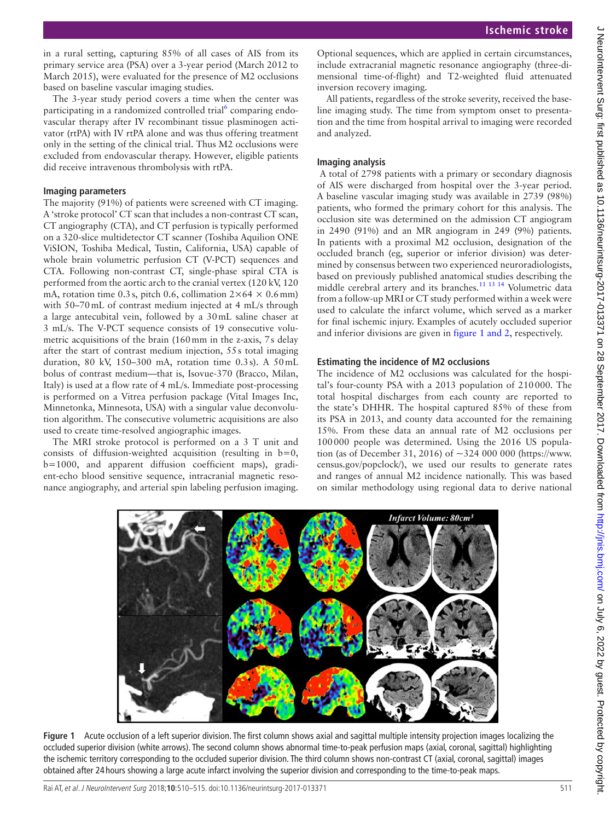in a rural setting, capturing 85% of all cases of AIS from its primary service area (PSA) over a 3-year period (March 2012 to March 2015), were evaluated for the presence of M2 occlusions based on baseline vascular imaging studies.

The 3-year study period covers a time when the center was participating in a randomized controlled trial<sup>[6](#page-5-5)</sup> comparing endovascular therapy after IV recombinant tissue plasminogen activator (rtPA) with IV rtPA alone and was thus offering treatment only in the setting of the clinical trial. Thus M2 occlusions were excluded from endovascular therapy. However, eligible patients did receive intravenous thrombolysis with rtPA.

#### **Imaging parameters**

The majority (91%) of patients were screened with CT imaging. A 'stroke protocol' CT scan that includes a non-contrast CT scan, CT angiography (CTA), and CT perfusion is typically performed on a 320-slice multidetector CT scanner (Toshiba Aquilion ONE ViSION, Toshiba Medical, Tustin, California, USA) capable of whole brain volumetric perfusion CT (V-PCT) sequences and CTA. Following non-contrast CT, single-phase spiral CTA is performed from the aortic arch to the cranial vertex (120 kV, 120 mA, rotation time 0.3 s, pitch 0.6, collimation  $2 \times 64 \times 0.6$  mm) with 50–70 mL of contrast medium injected at 4 mL/s through a large antecubital vein, followed by a 30mL saline chaser at 3 mL/s. The V-PCT sequence consists of 19 consecutive volumetric acquisitions of the brain (160mm in the z-axis, 7s delay after the start of contrast medium injection, 55s total imaging duration, 80 kV, 150–300 mA, rotation time 0.3s). A 50mL bolus of contrast medium—that is, Isovue-370 (Bracco, Milan, Italy) is used at a flow rate of 4 mL/s. Immediate post-processing is performed on a Vitrea perfusion package (Vital Images Inc, Minnetonka, Minnesota, USA) with a singular value deconvolution algorithm. The consecutive volumetric acquisitions are also used to create time-resolved angiographic images.

The MRI stroke protocol is performed on a 3 T unit and consists of diffusion-weighted acquisition (resulting in  $b=0$ , b=1000, and apparent diffusion coefficient maps), gradient-echo blood sensitive sequence, intracranial magnetic resonance angiography, and arterial spin labeling perfusion imaging.

Optional sequences, which are applied in certain circumstances, include extracranial magnetic resonance angiography (three-dimensional time-of-flight) and T2-weighted fluid attenuated inversion recovery imaging.

All patients, regardless of the stroke severity, received the baseline imaging study. The time from symptom onset to presentation and the time from hospital arrival to imaging were recorded and analyzed.

#### **Imaging analysis**

 A total of 2798 patients with a primary or secondary diagnosis of AIS were discharged from hospital over the 3-year period. A baseline vascular imaging study was available in 2739 (98%) patients, who formed the primary cohort for this analysis. The occlusion site was determined on the admission CT angiogram in 2490 (91%) and an MR angiogram in 249 (9%) patients. In patients with a proximal M2 occlusion, designation of the occluded branch (eg, superior or inferior division) was determined by consensus between two experienced neuroradiologists, based on previously published anatomical studies describing the middle cerebral artery and its branches[.11 13 14](#page-5-4) Volumetric data from a follow-up MRI or CT study performed within a week were used to calculate the infarct volume, which served as a marker for final ischemic injury. Examples of acutely occluded superior and inferior divisions are given in figure [1 and 2,](#page-1-0) respectively.

#### **Estimating the incidence of M2 occlusions**

The incidence of M2 occlusions was calculated for the hospital's four-county PSA with a 2013 population of 210000. The total hospital discharges from each county are reported to the state's DHHR. The hospital captured 85% of these from its PSA in 2013, and county data accounted for the remaining 15%. From these data an annual rate of M2 occlusions per 100000 people was determined. Using the 2016 US population (as of December 31, 2016) of ~324 000 000 [\(https://www.](https://www.census.gov/popclock/) [census.gov/popclock/](https://www.census.gov/popclock/)), we used our results to generate rates and ranges of annual M2 incidence nationally. This was based on similar methodology using regional data to derive national



<span id="page-1-0"></span>**Figure 1** Acute occlusion of a left superior division. The first column shows axial and sagittal multiple intensity projection images localizing the occluded superior division (white arrows). The second column shows abnormal time-to-peak perfusion maps (axial, coronal, sagittal) highlighting the ischemic territory corresponding to the occluded superior division. The third column shows non-contrast CT (axial, coronal, sagittal) images obtained after 24 hours showing a large acute infarct involving the superior division and corresponding to the time-to-peak maps.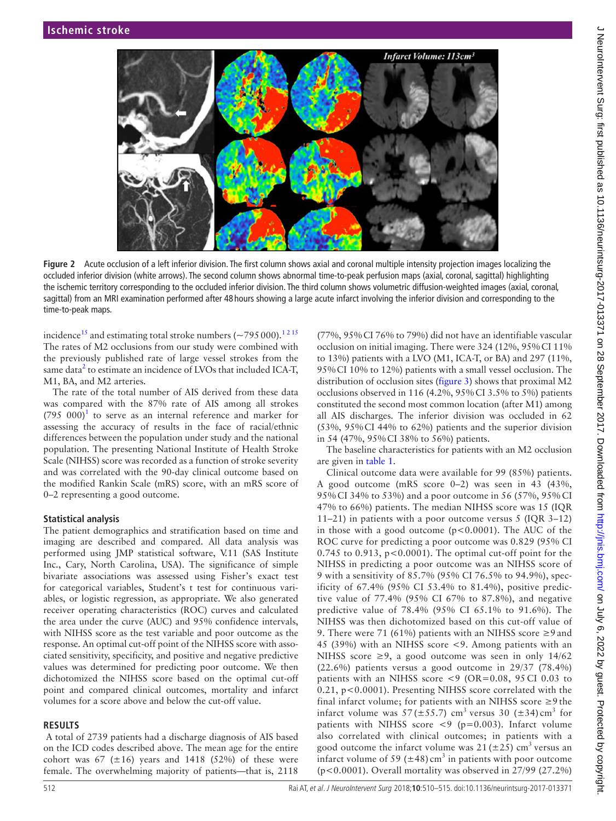

**Figure 2** Acute occlusion of a left inferior division. The first column shows axial and coronal multiple intensity projection images localizing the occluded inferior division (white arrows). The second column shows abnormal time-to-peak perfusion maps (axial, coronal, sagittal) highlighting the ischemic territory corresponding to the occluded inferior division. The third column shows volumetric diffusion-weighted images (axial, coronal, sagittal) from an MRI examination performed after 48 hours showing a large acute infarct involving the inferior division and corresponding to the time-to-peak maps.

incidence<sup>15</sup> and estimating total stroke numbers ( $\sim$ 795000).<sup>12 15</sup> The rates of M2 occlusions from our study were combined with the previously published rate of large vessel strokes from the same data<sup>[2](#page-5-1)</sup> to estimate an incidence of LVOs that included ICA-T, M1, BA, and M2 arteries.

The rate of the total number of AIS derived from these data was compared with the 87% rate of AIS among all strokes  $(795\ 000)^1$  $(795\ 000)^1$  to serve as an internal reference and marker for assessing the accuracy of results in the face of racial/ethnic differences between the population under study and the national population. The presenting National Institute of Health Stroke Scale (NIHSS) score was recorded as a function of stroke severity and was correlated with the 90-day clinical outcome based on the modified Rankin Scale (mRS) score, with an mRS score of 0–2 representing a good outcome.

#### **Statistical analysis**

The patient demographics and stratification based on time and imaging are described and compared. All data analysis was performed using JMP statistical software, V.11 (SAS Institute Inc., Cary, North Carolina, USA). The significance of simple bivariate associations was assessed using Fisher's exact test for categorical variables, Student's t test for continuous variables, or logistic regression, as appropriate. We also generated receiver operating characteristics (ROC) curves and calculated the area under the curve (AUC) and 95% confidence intervals, with NIHSS score as the test variable and poor outcome as the response. An optimal cut-off point of the NIHSS score with associated sensitivity, specificity, and positive and negative predictive values was determined for predicting poor outcome. We then dichotomized the NIHSS score based on the optimal cut-off point and compared clinical outcomes, mortality and infarct volumes for a score above and below the cut-off value.

#### **Results**

 A total of 2739 patients had a discharge diagnosis of AIS based on the ICD codes described above. The mean age for the entire cohort was 67 ( $\pm 16$ ) years and 1418 (52%) of these were female. The overwhelming majority of patients—that is, 2118

(77%, 95%CI 76% to 79%) did not have an identifiable vascular occlusion on initial imaging. There were 324 (12%, 95%CI 11% to 13%) patients with a LVO (M1, ICA-T, or BA) and 297 (11%, 95%CI 10% to 12%) patients with a small vessel occlusion. The distribution of occlusion sites [\(figure](#page-3-0) 3) shows that proximal M2 occlusions observed in 116 (4.2%, 95%CI 3.5% to 5%) patients constituted the second most common location (after M1) among all AIS discharges. The inferior division was occluded in 62 (53%, 95%CI 44% to 62%) patients and the superior division in 54 (47%, 95%CI 38% to 56%) patients.

The baseline characteristics for patients with an M2 occlusion are given in [table](#page-3-1) 1.

Clinical outcome data were available for 99 (85%) patients. A good outcome (mRS score 0–2) was seen in 43 (43%, 95% CI 34% to 53%) and a poor outcome in 56 (57%, 95% CI 47% to 66%) patients. The median NIHSS score was 15 (IQR 11–21) in patients with a poor outcome versus 5 (IQR 3–12) in those with a good outcome  $(p<0.0001)$ . The AUC of the ROC curve for predicting a poor outcome was 0.829 (95% CI  $0.745$  to  $0.913$ ,  $p<0.0001$ ). The optimal cut-off point for the NIHSS in predicting a poor outcome was an NIHSS score of 9 with a sensitivity of 85.7% (95% CI 76.5% to 94.9%), specificity of 67.4% (95% CI 53.4% to 81.4%), positive predictive value of 77.4% (95% CI 67% to 87.8%), and negative predictive value of 78.4% (95% CI 65.1% to 91.6%). The NIHSS was then dichotomized based on this cut-off value of 9. There were 71 (61%) patients with an NIHSS score ≥9 and 45 (39%) with an NIHSS score <9. Among patients with an NIHSS score  $\geq 9$ , a good outcome was seen in only 14/62 (22.6%) patients versus a good outcome in 29/37 (78.4%) patients with an NIHSS score  $\leq$ 9 (OR=0.08, 95 CI 0.03 to 0.21, p<0.0001). Presenting NIHSS score correlated with the final infarct volume; for patients with an NIHSS score ≥9 the infarct volume was  $57 (\pm 55.7)$  cm<sup>3</sup> versus 30 ( $\pm 34$ ) cm<sup>3</sup> for patients with NIHSS score  $\langle 9 \rangle$  (p=0.003). Infarct volume also correlated with clinical outcomes; in patients with a good outcome the infarct volume was  $21 (\pm 25)$  cm<sup>3</sup> versus an infarct volume of 59 ( $\pm$ 48) cm<sup>3</sup> in patients with poor outcome (p<0.0001). Overall mortality was observed in 27/99 (27.2%)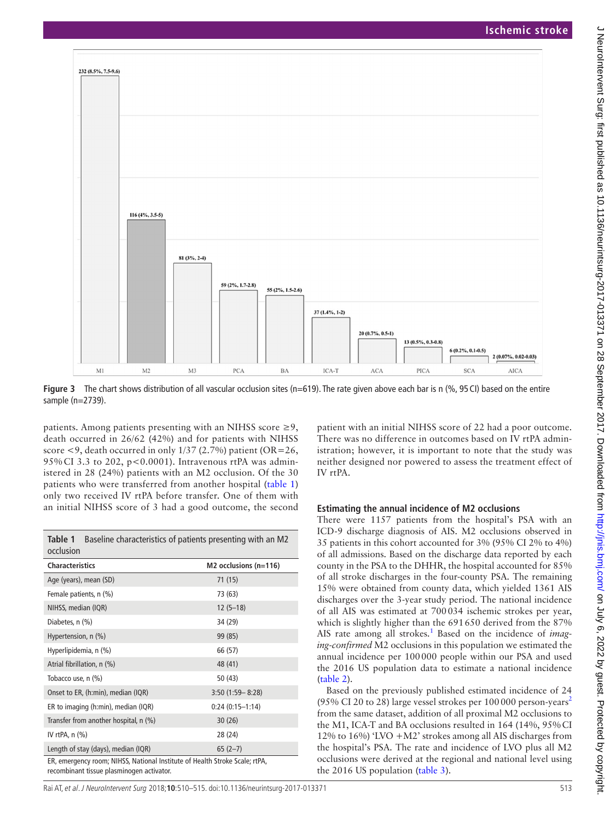

<span id="page-3-0"></span>**Figure 3** The chart shows distribution of all vascular occlusion sites (n=619). The rate given above each bar is n (%, 95 CI) based on the entire sample (n=2739).

patients. Among patients presenting with an NIHSS score  $\geq 9$ , death occurred in 26/62 (42%) and for patients with NIHSS score  $\leq$ 9, death occurred in only 1/37 (2.7%) patient (OR=26, 95% CI 3.3 to 202, p<0.0001). Intravenous rtPA was administered in 28 (24%) patients with an M2 occlusion. Of the 30 patients who were transferred from another hospital [\(table](#page-3-1) 1) only two received IV rtPA before transfer. One of them with an initial NIHSS score of 3 had a good outcome, the second

<span id="page-3-1"></span>

| Baseline characteristics of patients presenting with an M2<br>Table 1<br>occlusion                                       |                         |  |  |
|--------------------------------------------------------------------------------------------------------------------------|-------------------------|--|--|
| <b>Characteristics</b>                                                                                                   | $M2$ occlusions (n=116) |  |  |
| Age (years), mean (SD)                                                                                                   | 71(15)                  |  |  |
| Female patients, n (%)                                                                                                   | 73 (63)                 |  |  |
| NIHSS, median (IQR)                                                                                                      | $12(5-18)$              |  |  |
| Diabetes, n (%)                                                                                                          | 34 (29)                 |  |  |
| Hypertension, n (%)                                                                                                      | 99 (85)                 |  |  |
| Hyperlipidemia, n (%)                                                                                                    | 66 (57)                 |  |  |
| Atrial fibrillation, n (%)                                                                                               | 48 (41)                 |  |  |
| Tobacco use, n (%)                                                                                                       | 50 (43)                 |  |  |
| Onset to ER, (h:min), median (IQR)                                                                                       | $3:50(1:59 - 8:28)$     |  |  |
| ER to imaging (h:min), median (IQR)                                                                                      | $0:24(0:15-1:14)$       |  |  |
| Transfer from another hospital, n (%)                                                                                    | 30(26)                  |  |  |
| IV rtPA, $n$ $(\%)$                                                                                                      | 28 (24)                 |  |  |
| Length of stay (days), median (IQR)                                                                                      | $65(2-7)$               |  |  |
| ER, emergency room; NIHSS, National Institute of Health Stroke Scale; rtPA,<br>recombinant tissue plasminogen activator. |                         |  |  |

patient with an initial NIHSS score of 22 had a poor outcome. There was no difference in outcomes based on IV rtPA administration; however, it is important to note that the study was neither designed nor powered to assess the treatment effect of IV rtPA.

#### **Estimating the annual incidence of M2 occlusions**

There were 1157 patients from the hospital's PSA with an ICD-9 discharge diagnosis of AIS. M2 occlusions observed in 35 patients in this cohort accounted for 3% (95% CI 2% to 4%) of all admissions. Based on the discharge data reported by each county in the PSA to the DHHR, the hospital accounted for 85% of all stroke discharges in the four-county PSA. The remaining 15% were obtained from county data, which yielded 1361 AIS discharges over the 3-year study period. The national incidence of all AIS was estimated at 700034 ischemic strokes per year, which is slightly higher than the 691650 derived from the 87% AIS rate among all strokes.<sup>[1](#page-5-0)</sup> Based on the incidence of *imaging-confirmed* M2 occlusions in this population we estimated the annual incidence per 100000 people within our PSA and used the 2016 US population data to estimate a national incidence ([table](#page-4-0) 2).

Based on the previously published estimated incidence of 24 (95% CI [2](#page-5-1)0 to 28) large vessel strokes per 100000 person-years<sup>2</sup> from the same dataset, addition of all proximal M2 occlusions to the M1, ICA-T and BA occlusions resulted in 164 (14%, 95%CI 12% to 16%) 'LVO +M2' strokes among all AIS discharges from the hospital's PSA. The rate and incidence of LVO plus all M2 occlusions were derived at the regional and national level using the 2016 US population ([table](#page-4-1) 3).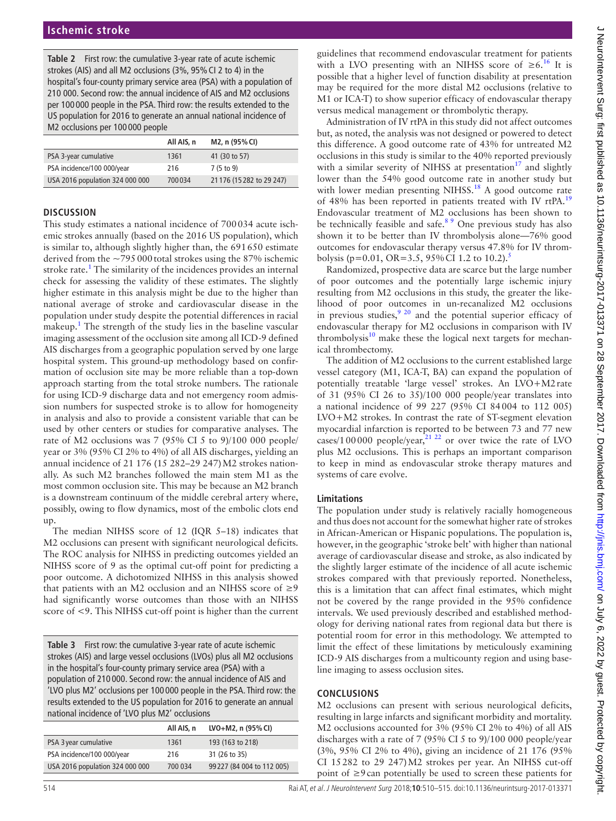<span id="page-4-0"></span>**Table 2** First row: the cumulative 3-year rate of acute ischemic strokes (AIS) and all M2 occlusions (3%, 95%CI 2 to 4) in the hospital's four-county primary service area (PSA) with a population of 210 000. Second row: the annual incidence of AIS and M2 occlusions per 100 000 people in the PSA. Third row: the results extended to the US population for 2016 to generate an annual national incidence of M2 occlusions per 100 000 people

|                                 | All AIS, n | M2, n (95% CI)            |
|---------------------------------|------------|---------------------------|
| PSA 3-year cumulative           | 1361       | 41 (30 to 57)             |
| PSA incidence/100 000/year      | 216        | 7(5 to 9)                 |
| USA 2016 population 324 000 000 | 700034     | 21 176 (15 282 to 29 247) |

#### **Discussion**

This study estimates a national incidence of 700034 acute ischemic strokes annually (based on the 2016 US population), which is similar to, although slightly higher than, the 691650 estimate derived from the  $\sim$ 795000 total strokes using the 87% ischemic stroke rate.<sup>[1](#page-5-0)</sup> The similarity of the incidences provides an internal check for assessing the validity of these estimates. The slightly higher estimate in this analysis might be due to the higher than national average of stroke and cardiovascular disease in the population under study despite the potential differences in racial makeup.<sup>1</sup> The strength of the study lies in the baseline vascular imaging assessment of the occlusion site among all ICD-9 defined AIS discharges from a geographic population served by one large hospital system. This ground-up methodology based on confirmation of occlusion site may be more reliable than a top-down approach starting from the total stroke numbers. The rationale for using ICD-9 discharge data and not emergency room admission numbers for suspected stroke is to allow for homogeneity in analysis and also to provide a consistent variable that can be used by other centers or studies for comparative analyses. The rate of M2 occlusions was 7 (95% CI 5 to 9)/100 000 people/ year or 3% (95% CI 2% to 4%) of all AIS discharges, yielding an annual incidence of 21 176 (15 282–29 247)M2 strokes nationally. As such M2 branches followed the main stem M1 as the most common occlusion site. This may be because an M2 branch is a downstream continuum of the middle cerebral artery where, possibly, owing to flow dynamics, most of the embolic clots end up.

The median NIHSS score of 12 (IQR 5–18) indicates that M2 occlusions can present with significant neurological deficits. The ROC analysis for NIHSS in predicting outcomes yielded an NIHSS score of 9 as the optimal cut-off point for predicting a poor outcome. A dichotomized NIHSS in this analysis showed that patients with an M2 occlusion and an NIHSS score of  $\geq$ 9 had significantly worse outcomes than those with an NIHSS score of <9. This NIHSS cut-off point is higher than the current

<span id="page-4-1"></span>**Table 3** First row: the cumulative 3-year rate of acute ischemic strokes (AIS) and large vessel occlusions (LVOs) plus all M2 occlusions in the hospital's four-county primary service area (PSA) with a population of 210 000. Second row: the annual incidence of AIS and 'LVO plus M2' occlusions per 100 000 people in the PSA. Third row: the results extended to the US population for 2016 to generate an annual national incidence of 'LVO plus M2' occlusions

|                                 | All AIS, n | LVO+M2, n (95% CI)         |
|---------------------------------|------------|----------------------------|
| PSA 3 year cumulative           | 1361       | 193 (163 to 218)           |
| PSA incidence/100 000/year      | 216        | 31 (26 to 35)              |
| USA 2016 population 324 000 000 | 700 034    | 99 227 (84 004 to 112 005) |
|                                 |            |                            |

Administration of IV rtPA in this study did not affect outcomes but, as noted, the analysis was not designed or powered to detect this difference. A good outcome rate of 43% for untreated M2 occlusions in this study is similar to the 40% reported previously with a similar severity of NIHSS at presentation<sup>17</sup> and slightly lower than the 54% good outcome rate in another study but with lower median presenting NIHSS.<sup>18</sup> A good outcome rate of 48% has been reported in patients treated with IV rtPA.[19](#page-5-10) Endovascular treatment of M2 occlusions has been shown to be technically feasible and safe.<sup>[8 9](#page-5-3)</sup> One previous study has also shown it to be better than IV thrombolysis alone—76% good outcomes for endovascular therapy versus 47.8% for IV throm-bolysis (p=0.01, OR=3[.5](#page-5-11), 95% CI 1.2 to 10.2).<sup>5</sup>

Randomized, prospective data are scarce but the large number of poor outcomes and the potentially large ischemic injury resulting from M2 occlusions in this study, the greater the likelihood of poor outcomes in un-recanalized M2 occlusions in previous studies, $\frac{9}{20}$  and the potential superior efficacy of endovascular therapy for M2 occlusions in comparison with IV thrombolysis $10$  make these the logical next targets for mechanical thrombectomy.

The addition of M2 occlusions to the current established large vessel category (M1, ICA-T, BA) can expand the population of potentially treatable 'large vessel' strokes. An LVO+M2rate of 31 (95% CI 26 to 35)/100 000 people/year translates into a national incidence of 99 227 (95% CI 84004 to 112 005) LVO+M2 strokes. In contrast the rate of ST-segment elevation myocardial infarction is reported to be between 73 and 77 new cases/100000 people/year, $^{21}$  <sup>22</sup> or over twice the rate of LVO plus M2 occlusions. This is perhaps an important comparison to keep in mind as endovascular stroke therapy matures and systems of care evolve.

#### **Limitations**

The population under study is relatively racially homogeneous and thus does not account for the somewhat higher rate of strokes in African-American or Hispanic populations. The population is, however, in the geographic 'stroke belt' with higher than national average of cardiovascular disease and stroke, as also indicated by the slightly larger estimate of the incidence of all acute ischemic strokes compared with that previously reported. Nonetheless, this is a limitation that can affect final estimates, which might not be covered by the range provided in the 95% confidence intervals. We used previously described and established methodology for deriving national rates from regional data but there is potential room for error in this methodology. We attempted to limit the effect of these limitations by meticulously examining ICD-9 AIS discharges from a multicounty region and using baseline imaging to assess occlusion sites.

## **Conclusions**

M2 occlusions can present with serious neurological deficits, resulting in large infarcts and significant morbidity and mortality. M2 occlusions accounted for 3% (95% CI 2% to 4%) of all AIS discharges with a rate of 7 (95% CI 5 to 9)/100 000 people/year (3%, 95% CI 2% to 4%), giving an incidence of 21 176 (95% CI 15282 to 29 247)M2 strokes per year. An NIHSS cut-off point of ≥9can potentially be used to screen these patients for